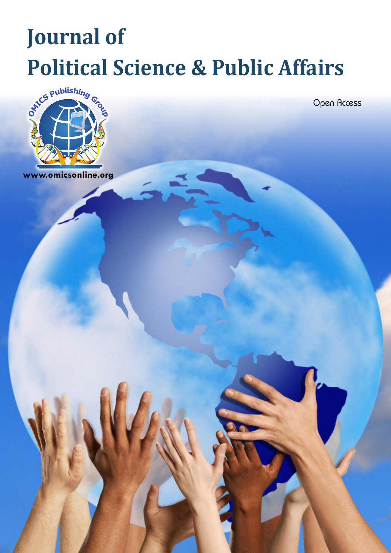## **Journal of Political Science & Public Affairs**



Open Access